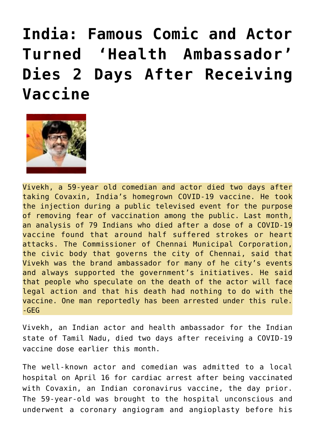## **[India: Famous Comic and Actor](https://needtoknow.news/2021/05/india-famous-comic-and-actor-turned-health-ambassador-dies-2-days-after-receiving-vaccine/) [Turned 'Health Ambassador'](https://needtoknow.news/2021/05/india-famous-comic-and-actor-turned-health-ambassador-dies-2-days-after-receiving-vaccine/) [Dies 2 Days After Receiving](https://needtoknow.news/2021/05/india-famous-comic-and-actor-turned-health-ambassador-dies-2-days-after-receiving-vaccine/) [Vaccine](https://needtoknow.news/2021/05/india-famous-comic-and-actor-turned-health-ambassador-dies-2-days-after-receiving-vaccine/)**



Vivekh, a 59-year old comedian and actor died two days after taking Covaxin, India's homegrown COVID-19 vaccine. He took the injection during a public televised event for the purpose of removing fear of vaccination among the public. Last month, an analysis of 79 Indians who died after a dose of a COVID-19 vaccine found that around half suffered strokes or heart attacks. The Commissioner of Chennai Municipal Corporation, the civic body that governs the city of Chennai, said that Vivekh was the brand ambassador for many of he city's events and always supported the government's initiatives. He said that people who speculate on the death of the actor will face legal action and that his death had nothing to do with the vaccine. One man reportedly has been arrested under this rule.  $-$ GEG

Vivekh, an Indian actor and health ambassador for the Indian state of Tamil Nadu, died two days after receiving a COVID-19 vaccine dose earlier this month.

The [well-known actor](https://en.wikipedia.org/wiki/Vivek_(actor)) and comedian was admitted to a local hospital on April 16 for cardiac arrest after being vaccinated with Covaxin, an Indian coronavirus vaccine, the day prior. The 59-year-old was brought to the hospital unconscious and underwent a coronary angiogram and angioplasty before his